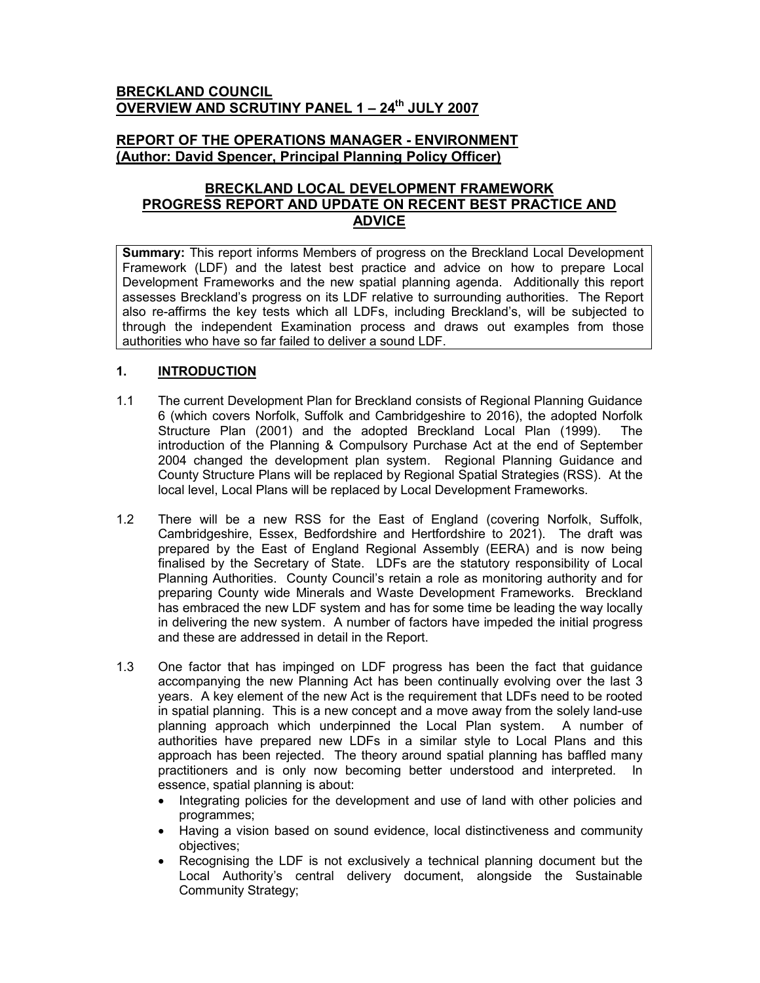# BRECKLAND COUNCIL OVERVIEW AND SCRUTINY PANEL 1 - 24<sup>th</sup> JULY 2007

# REPORT OF THE OPERATIONS MANAGER - ENVIRONMENT (Author: David Spencer, Principal Planning Policy Officer)

# BRECKLAND LOCAL DEVELOPMENT FRAMEWORK PROGRESS REPORT AND UPDATE ON RECENT BEST PRACTICE AND ADVICE

Summary: This report informs Members of progress on the Breckland Local Development Framework (LDF) and the latest best practice and advice on how to prepare Local Development Frameworks and the new spatial planning agenda. Additionally this report assesses Breckland's progress on its LDF relative to surrounding authorities. The Report also re-affirms the key tests which all LDFs, including Breckland's, will be subjected to through the independent Examination process and draws out examples from those authorities who have so far failed to deliver a sound LDF.

# 1. **INTRODUCTION**

- 1.1 The current Development Plan for Breckland consists of Regional Planning Guidance 6 (which covers Norfolk, Suffolk and Cambridgeshire to 2016), the adopted Norfolk Structure Plan (2001) and the adopted Breckland Local Plan (1999). The introduction of the Planning & Compulsory Purchase Act at the end of September 2004 changed the development plan system. Regional Planning Guidance and County Structure Plans will be replaced by Regional Spatial Strategies (RSS). At the local level, Local Plans will be replaced by Local Development Frameworks.
- 1.2 There will be a new RSS for the East of England (covering Norfolk, Suffolk, Cambridgeshire, Essex, Bedfordshire and Hertfordshire to 2021). The draft was prepared by the East of England Regional Assembly (EERA) and is now being finalised by the Secretary of State. LDFs are the statutory responsibility of Local Planning Authorities. County Council's retain a role as monitoring authority and for preparing County wide Minerals and Waste Development Frameworks. Breckland has embraced the new LDF system and has for some time be leading the way locally in delivering the new system. A number of factors have impeded the initial progress and these are addressed in detail in the Report.
- 1.3 One factor that has impinged on LDF progress has been the fact that guidance accompanying the new Planning Act has been continually evolving over the last 3 years. A key element of the new Act is the requirement that LDFs need to be rooted in spatial planning. This is a new concept and a move away from the solely land-use planning approach which underpinned the Local Plan system. A number of authorities have prepared new LDFs in a similar style to Local Plans and this approach has been rejected. The theory around spatial planning has baffled many practitioners and is only now becoming better understood and interpreted. In essence, spatial planning is about:
	- Integrating policies for the development and use of land with other policies and programmes;
	- Having a vision based on sound evidence, local distinctiveness and community objectives;
	- Recognising the LDF is not exclusively a technical planning document but the Local Authority's central delivery document, alongside the Sustainable Community Strategy;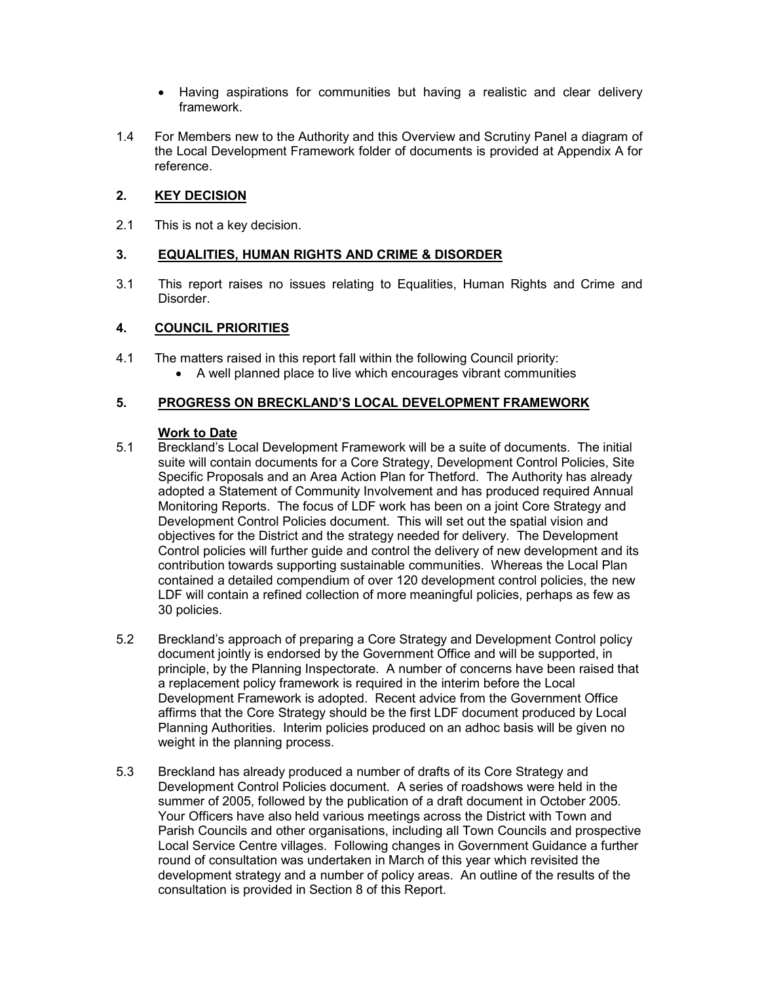- Having aspirations for communities but having a realistic and clear delivery framework.
- 1.4 For Members new to the Authority and this Overview and Scrutiny Panel a diagram of the Local Development Framework folder of documents is provided at Appendix A for reference.

# 2. KEY DECISION

2.1 This is not a key decision.

# 3. EQUALITIES, HUMAN RIGHTS AND CRIME & DISORDER

3.1 This report raises no issues relating to Equalities, Human Rights and Crime and Disorder.

# 4. COUNCIL PRIORITIES

- 4.1 The matters raised in this report fall within the following Council priority:
	- A well planned place to live which encourages vibrant communities

# 5. PROGRESS ON BRECKLAND'S LOCAL DEVELOPMENT FRAMEWORK

# Work to Date

- 5.1 Breckland's Local Development Framework will be a suite of documents. The initial suite will contain documents for a Core Strategy, Development Control Policies, Site Specific Proposals and an Area Action Plan for Thetford. The Authority has already adopted a Statement of Community Involvement and has produced required Annual Monitoring Reports. The focus of LDF work has been on a joint Core Strategy and Development Control Policies document. This will set out the spatial vision and objectives for the District and the strategy needed for delivery. The Development Control policies will further guide and control the delivery of new development and its contribution towards supporting sustainable communities. Whereas the Local Plan contained a detailed compendium of over 120 development control policies, the new LDF will contain a refined collection of more meaningful policies, perhaps as few as 30 policies.
- 5.2 Breckland's approach of preparing a Core Strategy and Development Control policy document jointly is endorsed by the Government Office and will be supported, in principle, by the Planning Inspectorate. A number of concerns have been raised that a replacement policy framework is required in the interim before the Local Development Framework is adopted. Recent advice from the Government Office affirms that the Core Strategy should be the first LDF document produced by Local Planning Authorities. Interim policies produced on an adhoc basis will be given no weight in the planning process.
- 5.3 Breckland has already produced a number of drafts of its Core Strategy and Development Control Policies document. A series of roadshows were held in the summer of 2005, followed by the publication of a draft document in October 2005. Your Officers have also held various meetings across the District with Town and Parish Councils and other organisations, including all Town Councils and prospective Local Service Centre villages. Following changes in Government Guidance a further round of consultation was undertaken in March of this year which revisited the development strategy and a number of policy areas. An outline of the results of the consultation is provided in Section 8 of this Report.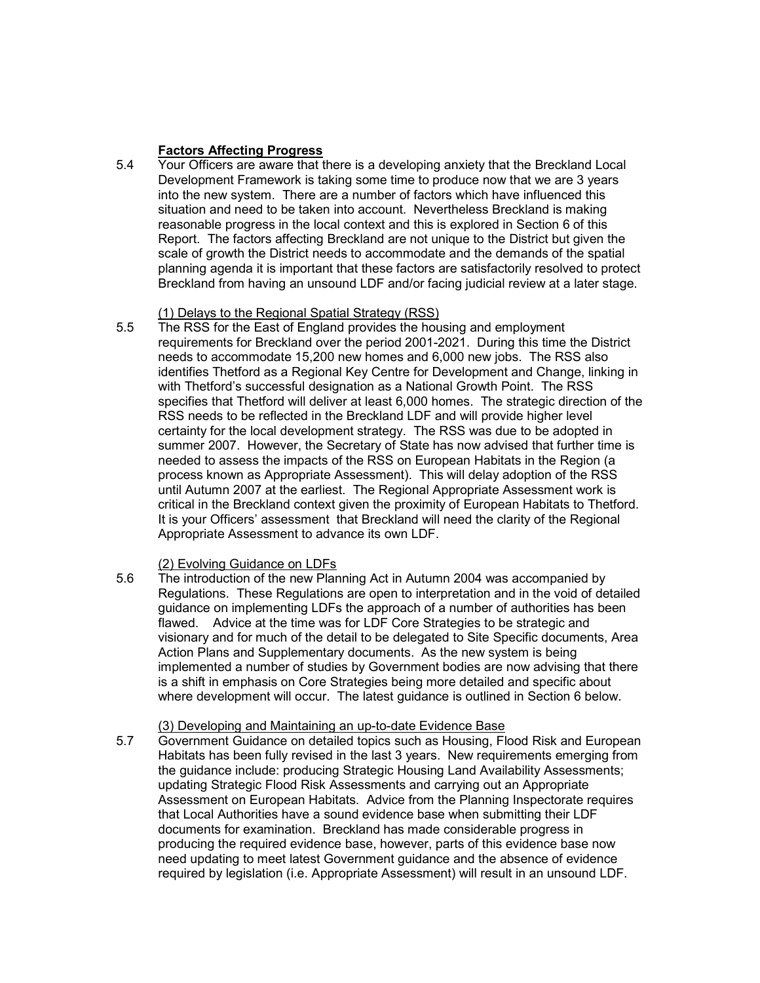# Factors Affecting Progress

5.4 Your Officers are aware that there is a developing anxiety that the Breckland Local Development Framework is taking some time to produce now that we are 3 years into the new system. There are a number of factors which have influenced this situation and need to be taken into account. Nevertheless Breckland is making reasonable progress in the local context and this is explored in Section 6 of this Report. The factors affecting Breckland are not unique to the District but given the scale of growth the District needs to accommodate and the demands of the spatial planning agenda it is important that these factors are satisfactorily resolved to protect Breckland from having an unsound LDF and/or facing judicial review at a later stage.

# (1) Delays to the Regional Spatial Strategy (RSS)

5.5 The RSS for the East of England provides the housing and employment requirements for Breckland over the period 2001-2021. During this time the District needs to accommodate 15,200 new homes and 6,000 new jobs. The RSS also identifies Thetford as a Regional Key Centre for Development and Change, linking in with Thetford's successful designation as a National Growth Point. The RSS specifies that Thetford will deliver at least 6,000 homes. The strategic direction of the RSS needs to be reflected in the Breckland LDF and will provide higher level certainty for the local development strategy. The RSS was due to be adopted in summer 2007. However, the Secretary of State has now advised that further time is needed to assess the impacts of the RSS on European Habitats in the Region (a process known as Appropriate Assessment). This will delay adoption of the RSS until Autumn 2007 at the earliest. The Regional Appropriate Assessment work is critical in the Breckland context given the proximity of European Habitats to Thetford. It is your Officers' assessment that Breckland will need the clarity of the Regional Appropriate Assessment to advance its own LDF.

# (2) Evolving Guidance on LDFs

5.6 The introduction of the new Planning Act in Autumn 2004 was accompanied by Regulations. These Regulations are open to interpretation and in the void of detailed guidance on implementing LDFs the approach of a number of authorities has been flawed. Advice at the time was for LDF Core Strategies to be strategic and visionary and for much of the detail to be delegated to Site Specific documents, Area Action Plans and Supplementary documents. As the new system is being implemented a number of studies by Government bodies are now advising that there is a shift in emphasis on Core Strategies being more detailed and specific about where development will occur. The latest guidance is outlined in Section 6 below.

## (3) Developing and Maintaining an up-to-date Evidence Base

5.7 Government Guidance on detailed topics such as Housing, Flood Risk and European Habitats has been fully revised in the last 3 years. New requirements emerging from the guidance include: producing Strategic Housing Land Availability Assessments; updating Strategic Flood Risk Assessments and carrying out an Appropriate Assessment on European Habitats. Advice from the Planning Inspectorate requires that Local Authorities have a sound evidence base when submitting their LDF documents for examination. Breckland has made considerable progress in producing the required evidence base, however, parts of this evidence base now need updating to meet latest Government guidance and the absence of evidence required by legislation (i.e. Appropriate Assessment) will result in an unsound LDF.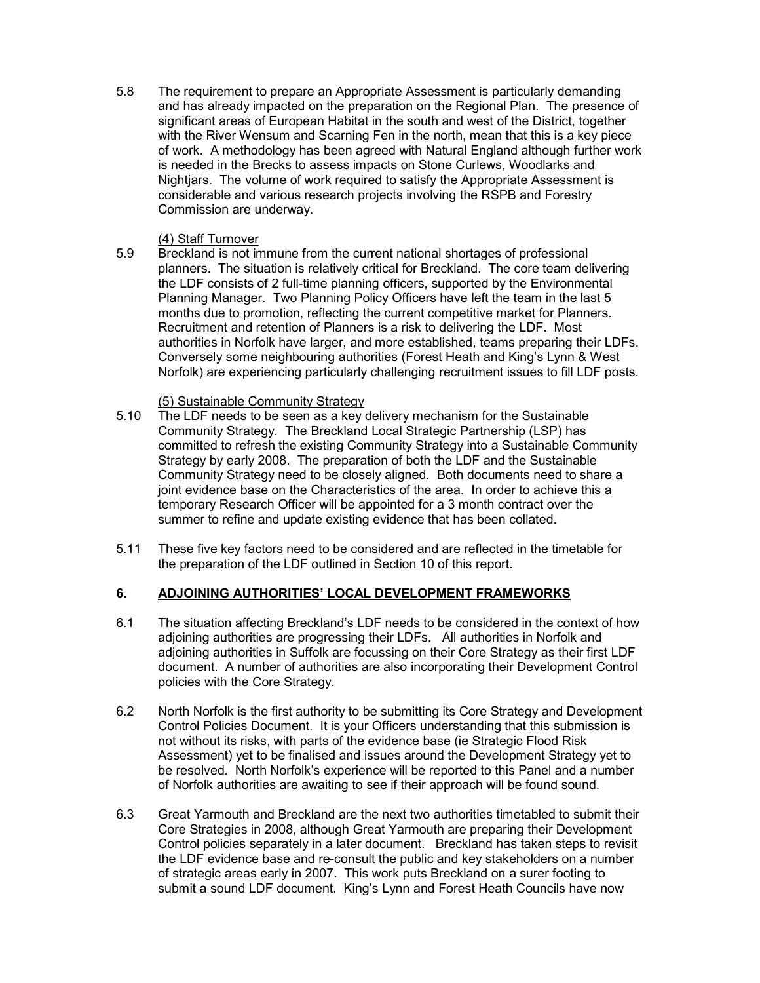5.8 The requirement to prepare an Appropriate Assessment is particularly demanding and has already impacted on the preparation on the Regional Plan. The presence of significant areas of European Habitat in the south and west of the District, together with the River Wensum and Scarning Fen in the north, mean that this is a key piece of work. A methodology has been agreed with Natural England although further work is needed in the Brecks to assess impacts on Stone Curlews, Woodlarks and Nightjars. The volume of work required to satisfy the Appropriate Assessment is considerable and various research projects involving the RSPB and Forestry Commission are underway.

## (4) Staff Turnover

5.9 Breckland is not immune from the current national shortages of professional planners. The situation is relatively critical for Breckland. The core team delivering the LDF consists of 2 full-time planning officers, supported by the Environmental Planning Manager. Two Planning Policy Officers have left the team in the last 5 months due to promotion, reflecting the current competitive market for Planners. Recruitment and retention of Planners is a risk to delivering the LDF. Most authorities in Norfolk have larger, and more established, teams preparing their LDFs. Conversely some neighbouring authorities (Forest Heath and King's Lynn & West Norfolk) are experiencing particularly challenging recruitment issues to fill LDF posts.

- (5) Sustainable Community Strategy<br>5.10 The LDF needs to be seen as a key of The LDF needs to be seen as a key delivery mechanism for the Sustainable Community Strategy. The Breckland Local Strategic Partnership (LSP) has committed to refresh the existing Community Strategy into a Sustainable Community Strategy by early 2008. The preparation of both the LDF and the Sustainable Community Strategy need to be closely aligned. Both documents need to share a joint evidence base on the Characteristics of the area. In order to achieve this a temporary Research Officer will be appointed for a 3 month contract over the summer to refine and update existing evidence that has been collated.
- 5.11 These five key factors need to be considered and are reflected in the timetable for the preparation of the LDF outlined in Section 10 of this report.

# 6. ADJOINING AUTHORITIES' LOCAL DEVELOPMENT FRAMEWORKS

- 6.1 The situation affecting Breckland's LDF needs to be considered in the context of how adjoining authorities are progressing their LDFs. All authorities in Norfolk and adjoining authorities in Suffolk are focussing on their Core Strategy as their first LDF document. A number of authorities are also incorporating their Development Control policies with the Core Strategy.
- 6.2 North Norfolk is the first authority to be submitting its Core Strategy and Development Control Policies Document. It is your Officers understanding that this submission is not without its risks, with parts of the evidence base (ie Strategic Flood Risk Assessment) yet to be finalised and issues around the Development Strategy yet to be resolved. North Norfolk's experience will be reported to this Panel and a number of Norfolk authorities are awaiting to see if their approach will be found sound.
- 6.3 Great Yarmouth and Breckland are the next two authorities timetabled to submit their Core Strategies in 2008, although Great Yarmouth are preparing their Development Control policies separately in a later document. Breckland has taken steps to revisit the LDF evidence base and re-consult the public and key stakeholders on a number of strategic areas early in 2007. This work puts Breckland on a surer footing to submit a sound LDF document. King's Lynn and Forest Heath Councils have now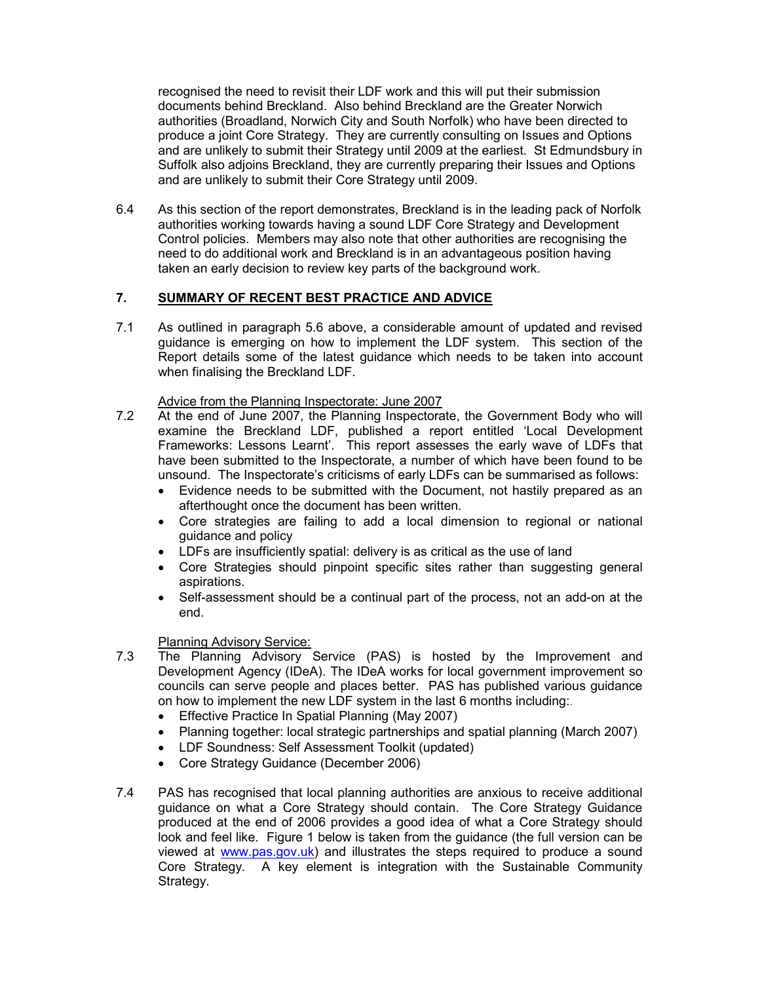recognised the need to revisit their LDF work and this will put their submission documents behind Breckland. Also behind Breckland are the Greater Norwich authorities (Broadland, Norwich City and South Norfolk) who have been directed to produce a joint Core Strategy. They are currently consulting on Issues and Options and are unlikely to submit their Strategy until 2009 at the earliest. St Edmundsbury in Suffolk also adjoins Breckland, they are currently preparing their Issues and Options and are unlikely to submit their Core Strategy until 2009.

6.4 As this section of the report demonstrates, Breckland is in the leading pack of Norfolk authorities working towards having a sound LDF Core Strategy and Development Control policies. Members may also note that other authorities are recognising the need to do additional work and Breckland is in an advantageous position having taken an early decision to review key parts of the background work.

# 7. SUMMARY OF RECENT BEST PRACTICE AND ADVICE

7.1 As outlined in paragraph 5.6 above, a considerable amount of updated and revised guidance is emerging on how to implement the LDF system. This section of the Report details some of the latest guidance which needs to be taken into account when finalising the Breckland LDF.

### Advice from the Planning Inspectorate: June 2007

- 7.2 At the end of June 2007, the Planning Inspectorate, the Government Body who will examine the Breckland LDF, published a report entitled 'Local Development Frameworks: Lessons Learnt'. This report assesses the early wave of LDFs that have been submitted to the Inspectorate, a number of which have been found to be unsound. The Inspectorate's criticisms of early LDFs can be summarised as follows:
	- Evidence needs to be submitted with the Document, not hastily prepared as an afterthought once the document has been written.
	- Core strategies are failing to add a local dimension to regional or national guidance and policy
	- LDFs are insufficiently spatial: delivery is as critical as the use of land
	- Core Strategies should pinpoint specific sites rather than suggesting general aspirations.
	- Self-assessment should be a continual part of the process, not an add-on at the end.

# Planning Advisory Service:

- 7.3 The Planning Advisory Service (PAS) is hosted by the Improvement and Development Agency (IDeA). The IDeA works for local government improvement so councils can serve people and places better. PAS has published various guidance on how to implement the new LDF system in the last 6 months including:.
	- Effective Practice In Spatial Planning (May 2007)
	- Planning together: local strategic partnerships and spatial planning (March 2007)
	- LDF Soundness: Self Assessment Toolkit (updated)
	- Core Strategy Guidance (December 2006)
- 7.4 PAS has recognised that local planning authorities are anxious to receive additional guidance on what a Core Strategy should contain. The Core Strategy Guidance produced at the end of 2006 provides a good idea of what a Core Strategy should look and feel like. Figure 1 below is taken from the guidance (the full version can be viewed at www.pas.gov.uk) and illustrates the steps required to produce a sound Core Strategy. A key element is integration with the Sustainable Community Strategy.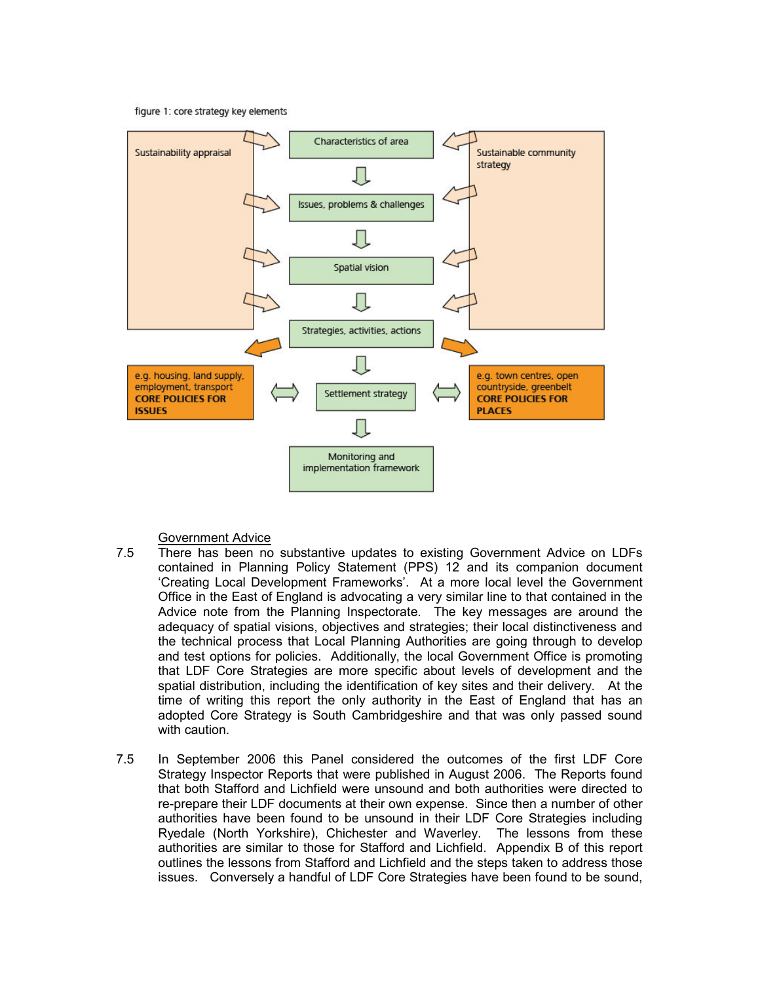figure 1: core strategy key elements



Government Advice

- 7.5 There has been no substantive updates to existing Government Advice on LDFs contained in Planning Policy Statement (PPS) 12 and its companion document 'Creating Local Development Frameworks'. At a more local level the Government Office in the East of England is advocating a very similar line to that contained in the Advice note from the Planning Inspectorate. The key messages are around the adequacy of spatial visions, objectives and strategies; their local distinctiveness and the technical process that Local Planning Authorities are going through to develop and test options for policies. Additionally, the local Government Office is promoting that LDF Core Strategies are more specific about levels of development and the spatial distribution, including the identification of key sites and their delivery. At the time of writing this report the only authority in the East of England that has an adopted Core Strategy is South Cambridgeshire and that was only passed sound with caution.
- 7.5 In September 2006 this Panel considered the outcomes of the first LDF Core Strategy Inspector Reports that were published in August 2006. The Reports found that both Stafford and Lichfield were unsound and both authorities were directed to re-prepare their LDF documents at their own expense. Since then a number of other authorities have been found to be unsound in their LDF Core Strategies including Ryedale (North Yorkshire), Chichester and Waverley. The lessons from these authorities are similar to those for Stafford and Lichfield. Appendix B of this report outlines the lessons from Stafford and Lichfield and the steps taken to address those issues. Conversely a handful of LDF Core Strategies have been found to be sound,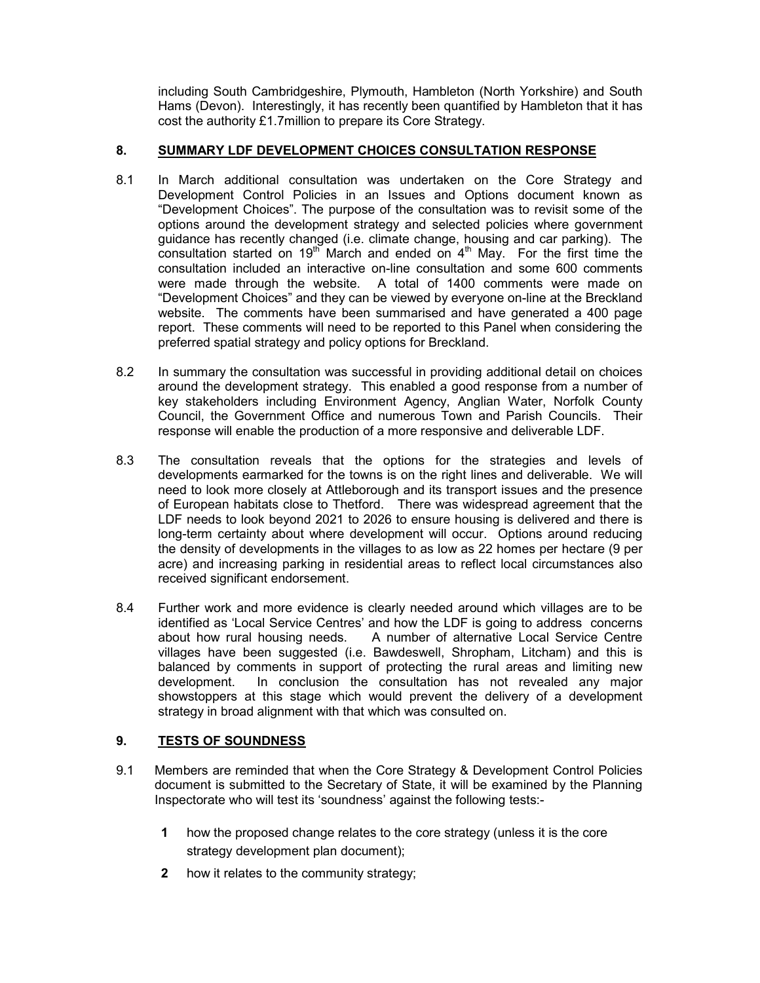including South Cambridgeshire, Plymouth, Hambleton (North Yorkshire) and South Hams (Devon). Interestingly, it has recently been quantified by Hambleton that it has cost the authority £1.7million to prepare its Core Strategy.

# 8. SUMMARY LDF DEVELOPMENT CHOICES CONSULTATION RESPONSE

- 8.1 In March additional consultation was undertaken on the Core Strategy and Development Control Policies in an Issues and Options document known as "Development Choices". The purpose of the consultation was to revisit some of the options around the development strategy and selected policies where government guidance has recently changed (i.e. climate change, housing and car parking). The consultation started on  $19<sup>th</sup>$  March and ended on  $4<sup>th</sup>$  May. For the first time the consultation included an interactive on-line consultation and some 600 comments were made through the website. A total of 1400 comments were made on "Development Choices" and they can be viewed by everyone on-line at the Breckland website. The comments have been summarised and have generated a 400 page report. These comments will need to be reported to this Panel when considering the preferred spatial strategy and policy options for Breckland.
- 8.2 In summary the consultation was successful in providing additional detail on choices around the development strategy. This enabled a good response from a number of key stakeholders including Environment Agency, Anglian Water, Norfolk County Council, the Government Office and numerous Town and Parish Councils. Their response will enable the production of a more responsive and deliverable LDF.
- 8.3 The consultation reveals that the options for the strategies and levels of developments earmarked for the towns is on the right lines and deliverable. We will need to look more closely at Attleborough and its transport issues and the presence of European habitats close to Thetford. There was widespread agreement that the LDF needs to look beyond 2021 to 2026 to ensure housing is delivered and there is long-term certainty about where development will occur. Options around reducing the density of developments in the villages to as low as 22 homes per hectare (9 per acre) and increasing parking in residential areas to reflect local circumstances also received significant endorsement.
- 8.4 Further work and more evidence is clearly needed around which villages are to be identified as 'Local Service Centres' and how the LDF is going to address concerns about how rural housing needs. A number of alternative Local Service Centre villages have been suggested (i.e. Bawdeswell, Shropham, Litcham) and this is balanced by comments in support of protecting the rural areas and limiting new development. In conclusion the consultation has not revealed any major showstoppers at this stage which would prevent the delivery of a development strategy in broad alignment with that which was consulted on.

# 9. TESTS OF SOUNDNESS

- 9.1 Members are reminded that when the Core Strategy & Development Control Policies document is submitted to the Secretary of State, it will be examined by the Planning Inspectorate who will test its 'soundness' against the following tests:-
	- 1 how the proposed change relates to the core strategy (unless it is the core strategy development plan document);
	- 2 how it relates to the community strategy;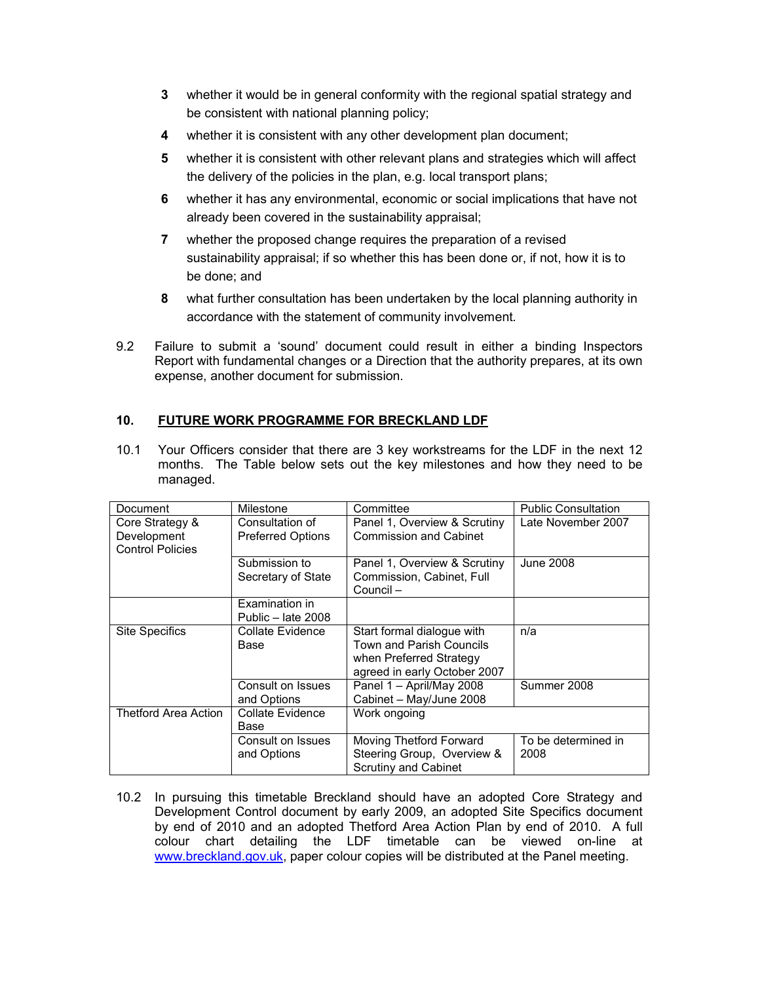- 3 whether it would be in general conformity with the regional spatial strategy and be consistent with national planning policy;
- 4 whether it is consistent with any other development plan document;
- 5 whether it is consistent with other relevant plans and strategies which will affect the delivery of the policies in the plan, e.g. local transport plans;
- 6 whether it has any environmental, economic or social implications that have not already been covered in the sustainability appraisal;
- 7 whether the proposed change requires the preparation of a revised sustainability appraisal; if so whether this has been done or, if not, how it is to be done; and
- 8 what further consultation has been undertaken by the local planning authority in accordance with the statement of community involvement.
- 9.2 Failure to submit a 'sound' document could result in either a binding Inspectors Report with fundamental changes or a Direction that the authority prepares, at its own expense, another document for submission.

# 10. FUTURE WORK PROGRAMME FOR BRECKLAND LDF

10.1 Your Officers consider that there are 3 key workstreams for the LDF in the next 12 months. The Table below sets out the key milestones and how they need to be managed.

| Document                                                  | Milestone                                   | Committee                                                                                                         | <b>Public Consultation</b>  |
|-----------------------------------------------------------|---------------------------------------------|-------------------------------------------------------------------------------------------------------------------|-----------------------------|
| Core Strategy &<br>Development<br><b>Control Policies</b> | Consultation of<br><b>Preferred Options</b> | Panel 1, Overview & Scrutiny<br><b>Commission and Cabinet</b>                                                     | Late November 2007          |
|                                                           | Submission to<br>Secretary of State         | Panel 1, Overview & Scrutiny<br>Commission, Cabinet, Full<br>Council-                                             | <b>June 2008</b>            |
|                                                           | Examination in<br>Public - late 2008        |                                                                                                                   |                             |
| <b>Site Specifics</b>                                     | Collate Evidence<br>Base                    | Start formal dialogue with<br>Town and Parish Councils<br>when Preferred Strategy<br>agreed in early October 2007 | n/a                         |
|                                                           | Consult on Issues<br>and Options            | Panel 1 - April/May 2008<br>Cabinet - May/June 2008                                                               | Summer 2008                 |
| <b>Thetford Area Action</b>                               | Collate Evidence<br>Base                    | Work ongoing                                                                                                      |                             |
|                                                           | Consult on Issues<br>and Options            | Moving Thetford Forward<br>Steering Group, Overview &<br>Scrutiny and Cabinet                                     | To be determined in<br>2008 |

10.2 In pursuing this timetable Breckland should have an adopted Core Strategy and Development Control document by early 2009, an adopted Site Specifics document by end of 2010 and an adopted Thetford Area Action Plan by end of 2010. A full colour chart detailing the LDF timetable can be viewed on-line at www.breckland.gov.uk, paper colour copies will be distributed at the Panel meeting.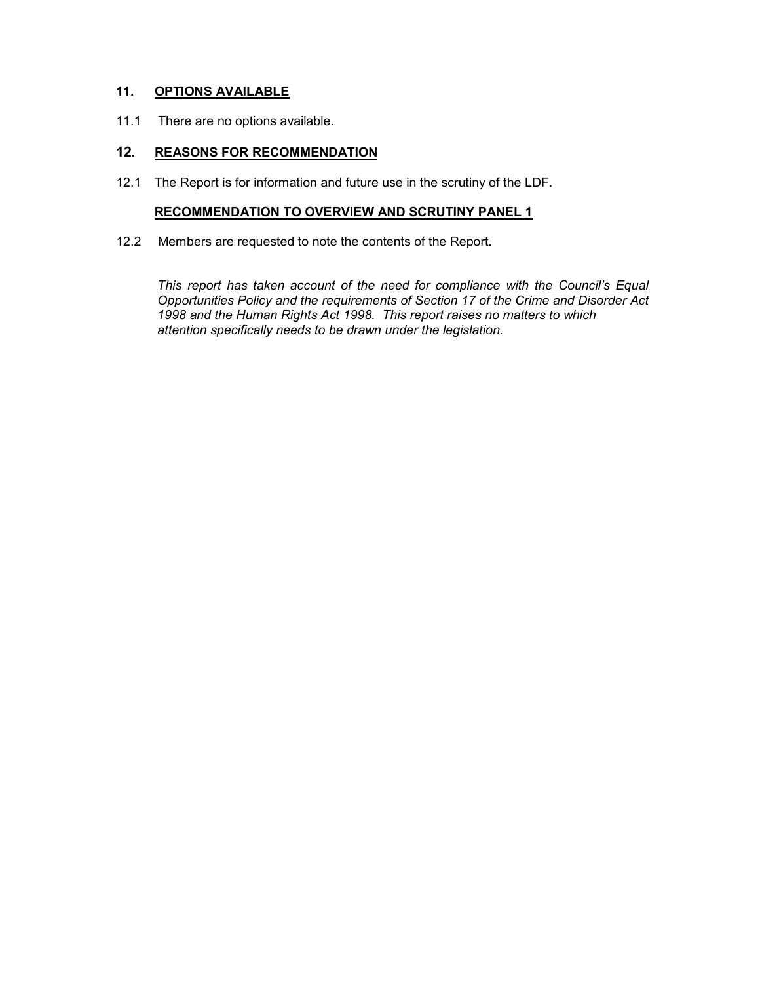# 11. OPTIONS AVAILABLE

11.1 There are no options available.

# 12. REASONS FOR RECOMMENDATION

12.1 The Report is for information and future use in the scrutiny of the LDF.

### RECOMMENDATION TO OVERVIEW AND SCRUTINY PANEL 1

12.2 Members are requested to note the contents of the Report.

This report has taken account of the need for compliance with the Council's Equal Opportunities Policy and the requirements of Section 17 of the Crime and Disorder Act 1998 and the Human Rights Act 1998. This report raises no matters to which attention specifically needs to be drawn under the legislation.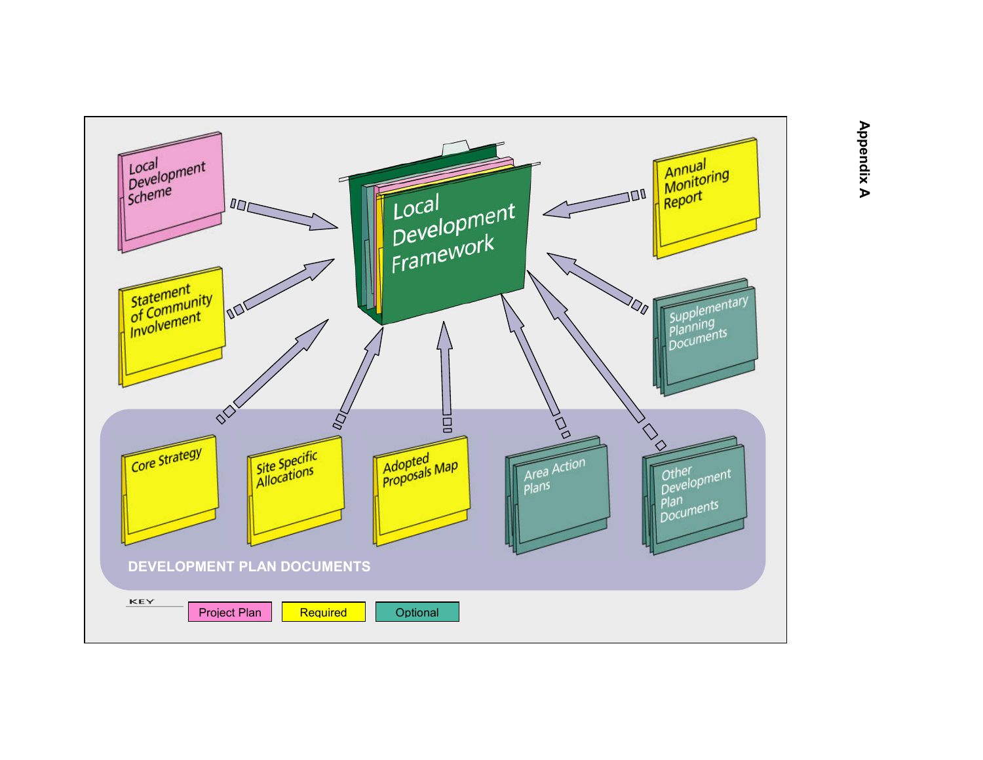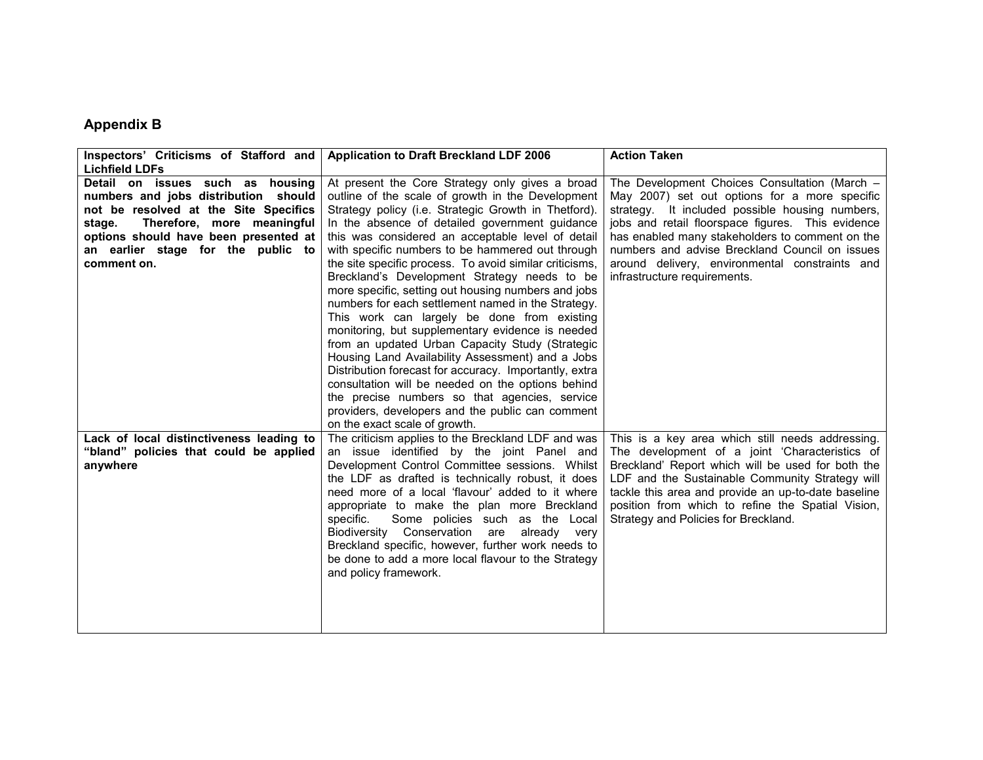# Appendix B

| Inspectors' Criticisms of Stafford and   | <b>Application to Draft Breckland LDF 2006</b>          | <b>Action Taken</b>                                 |
|------------------------------------------|---------------------------------------------------------|-----------------------------------------------------|
| <b>Lichfield LDFs</b>                    |                                                         |                                                     |
| Detail on issues such as housing         | At present the Core Strategy only gives a broad         | The Development Choices Consultation (March -       |
| numbers and jobs distribution should     | outline of the scale of growth in the Development       | May 2007) set out options for a more specific       |
| not be resolved at the Site Specifics    | Strategy policy (i.e. Strategic Growth in Thetford).    | strategy. It included possible housing numbers,     |
| Therefore, more meaningful<br>stage.     | In the absence of detailed government guidance          | jobs and retail floorspace figures. This evidence   |
| options should have been presented at    | this was considered an acceptable level of detail       | has enabled many stakeholders to comment on the     |
| an earlier stage for the public to       | with specific numbers to be hammered out through        | numbers and advise Breckland Council on issues      |
| comment on.                              | the site specific process. To avoid similar criticisms, | around delivery, environmental constraints and      |
|                                          | Breckland's Development Strategy needs to be            | infrastructure requirements.                        |
|                                          | more specific, setting out housing numbers and jobs     |                                                     |
|                                          | numbers for each settlement named in the Strategy.      |                                                     |
|                                          | This work can largely be done from existing             |                                                     |
|                                          | monitoring, but supplementary evidence is needed        |                                                     |
|                                          | from an updated Urban Capacity Study (Strategic         |                                                     |
|                                          | Housing Land Availability Assessment) and a Jobs        |                                                     |
|                                          | Distribution forecast for accuracy. Importantly, extra  |                                                     |
|                                          | consultation will be needed on the options behind       |                                                     |
|                                          | the precise numbers so that agencies, service           |                                                     |
|                                          | providers, developers and the public can comment        |                                                     |
|                                          | on the exact scale of growth.                           |                                                     |
| Lack of local distinctiveness leading to | The criticism applies to the Breckland LDF and was      | This is a key area which still needs addressing.    |
| "bland" policies that could be applied   | an issue identified by the joint Panel and              | The development of a joint 'Characteristics of      |
| anywhere                                 | Development Control Committee sessions. Whilst          | Breckland' Report which will be used for both the   |
|                                          | the LDF as drafted is technically robust, it does       | LDF and the Sustainable Community Strategy will     |
|                                          | need more of a local 'flavour' added to it where        | tackle this area and provide an up-to-date baseline |
|                                          | appropriate to make the plan more Breckland             | position from which to refine the Spatial Vision,   |
|                                          | Some policies such as the Local<br>specific.            | Strategy and Policies for Breckland.                |
|                                          | Biodiversity Conservation are<br>already very           |                                                     |
|                                          | Breckland specific, however, further work needs to      |                                                     |
|                                          | be done to add a more local flavour to the Strategy     |                                                     |
|                                          | and policy framework.                                   |                                                     |
|                                          |                                                         |                                                     |
|                                          |                                                         |                                                     |
|                                          |                                                         |                                                     |
|                                          |                                                         |                                                     |